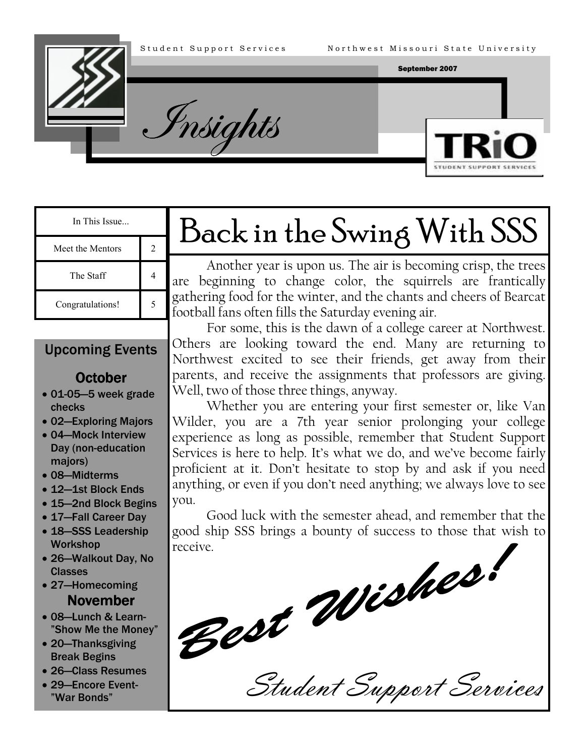



| In This Issue    |  |
|------------------|--|
| Meet the Mentors |  |
| The Staff        |  |
| Congratulations! |  |

#### Upcoming Events

#### **October**

- 01-05—5 week grade checks
- 02—Exploring Majors
- 04—Mock Interview Day (non-education majors)
- 08—Midterms
- 12—1st Block Ends
- 15—2nd Block Begins
- 17—Fall Career Day
- 18-SSS Leadership Workshop
- 26—Walkout Day, No Classes
- 27—Homecoming **November**
- 08—Lunch & Learn- "Show Me the Money"
- 20—Thanksgiving Break Begins
- 26—Class Resumes
- 29—Encore Event- "War Bonds"

# Back in the Swing With SSS

Another year is upon us. The air is becoming crisp, the trees are beginning to change color, the squirrels are frantically gathering food for the winter, and the chants and cheers of Bearcat football fans often fills the Saturday evening air.

For some, this is the dawn of a college career at Northwest. Others are looking toward the end. Many are returning to Northwest excited to see their friends, get away from their parents, and receive the assignments that professors are giving. Well, two of those three things, anyway.

Whether you are entering your first semester or, like Van Wilder, you are a 7th year senior prolonging your college experience as long as possible, remember that Student Support Services is here to help. It's what we do, and we've become fairly proficient at it. Don't hesitate to stop by and ask if you need anything, or even if you don't need anything; we always love to see you.

Good luck with the semester ahead, and remember that the good ship SSS brings a bounty of success to those that wish to

receive.<br>Best Wishes'

Student Support Services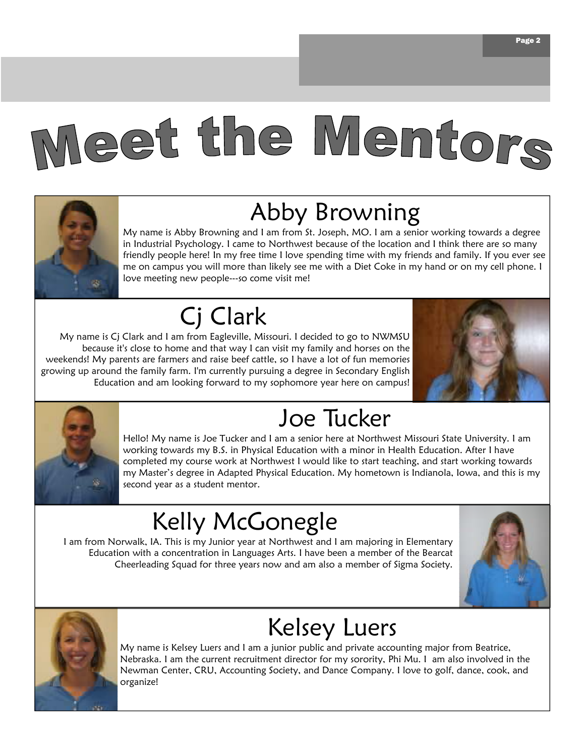# Meet the Mentors



## Abby Browning

My name is Abby Browning and I am from St. Joseph, MO. I am a senior working towards a degree in Industrial Psychology. I came to Northwest because of the location and I think there are so many friendly people here! In my free time I love spending time with my friends and family. If you ever see me on campus you will more than likely see me with a Diet Coke in my hand or on my cell phone. I love meeting new people---so come visit me!

#### Cj Clark

My name is Cj Clark and I am from Eagleville, Missouri. I decided to go to NWMSU because it's close to home and that way I can visit my family and horses on the weekends! My parents are farmers and raise beef cattle, so I have a lot of fun memories growing up around the family farm. I'm currently pursuing a degree in Secondary English Education and am looking forward to my sophomore year here on campus!





## Joe Tucker

Hello! My name is Joe Tucker and I am a senior here at Northwest Missouri State University. I am working towards my B.S. in Physical Education with a minor in Health Education. After I have completed my course work at Northwest I would like to start teaching, and start working towards my Master's degree in Adapted Physical Education. My hometown is Indianola, Iowa, and this is my second year as a student mentor.

# Kelly McGonegle

I am from Norwalk, IA. This is my Junior year at Northwest and I am majoring in Elementary Education with a concentration in Languages Arts. I have been a member of the Bearcat Cheerleading Squad for three years now and am also a member of Sigma Society.





#### Kelsey Luers

My name is Kelsey Luers and I am a junior public and private accounting major from Beatrice, Nebraska. I am the current recruitment director for my sorority, Phi Mu. I am also involved in the Newman Center, CRU, Accounting Society, and Dance Company. I love to golf, dance, cook, and organize!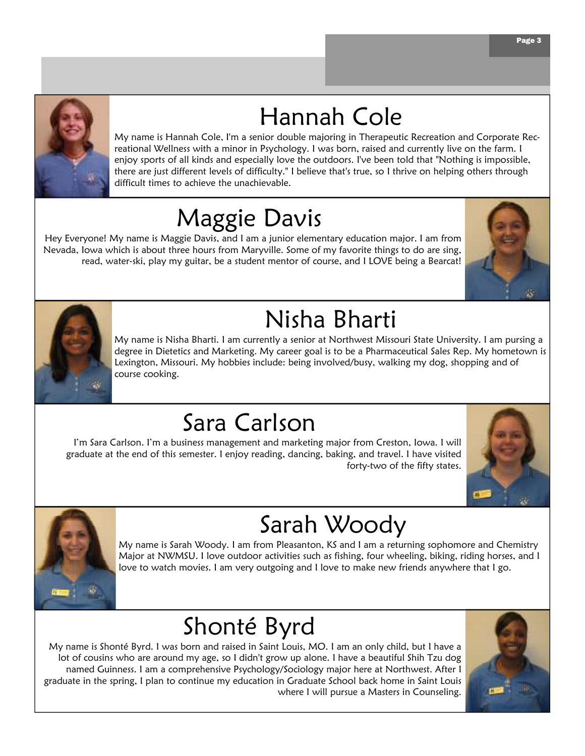

# Hannah Cole

My name is Hannah Cole, I'm a senior double majoring in Therapeutic Recreation and Corporate Recreational Wellness with a minor in Psychology. I was born, raised and currently live on the farm. I enjoy sports of all kinds and especially love the outdoors. I've been told that "Nothing is impossible, there are just different levels of difficulty." I believe that's true, so I thrive on helping others through difficult times to achieve the unachievable.

## Maggie Davis

Hey Everyone! My name is Maggie Davis, and I am a junior elementary education major. I am from Nevada, Iowa which is about three hours from Maryville. Some of my favorite things to do are sing, read, water-ski, play my guitar, be a student mentor of course, and I LOVE being a Bearcat!





#### Nisha Bharti

My name is Nisha Bharti. I am currently a senior at Northwest Missouri State University. I am pursing a degree in Dietetics and Marketing. My career goal is to be a Pharmaceutical Sales Rep. My hometown is Lexington, Missouri. My hobbies include: being involved/busy, walking my dog, shopping and of course cooking.

# Sara Carlson

I'm Sara Carlson. I'm a business management and marketing major from Creston, Iowa. I will graduate at the end of this semester. I enjoy reading, dancing, baking, and travel. I have visited forty-two of the fifty states.





# Sarah Woody

My name is Sarah Woody. I am from Pleasanton, KS and I am a returning sophomore and Chemistry Major at NWMSU. I love outdoor activities such as fishing, four wheeling, biking, riding horses, and I love to watch movies. I am very outgoing and I love to make new friends anywhere that I go.

# Shonté Byrd

My name is Shonté Byrd. I was born and raised in Saint Louis, MO. I am an only child, but I have a lot of cousins who are around my age, so I didn't grow up alone. I have a beautiful Shih Tzu dog named Guinness. I am a comprehensive Psychology/Sociology major here at Northwest. After I graduate in the spring, I plan to continue my education in Graduate School back home in Saint Louis where I will pursue a Masters in Counseling.

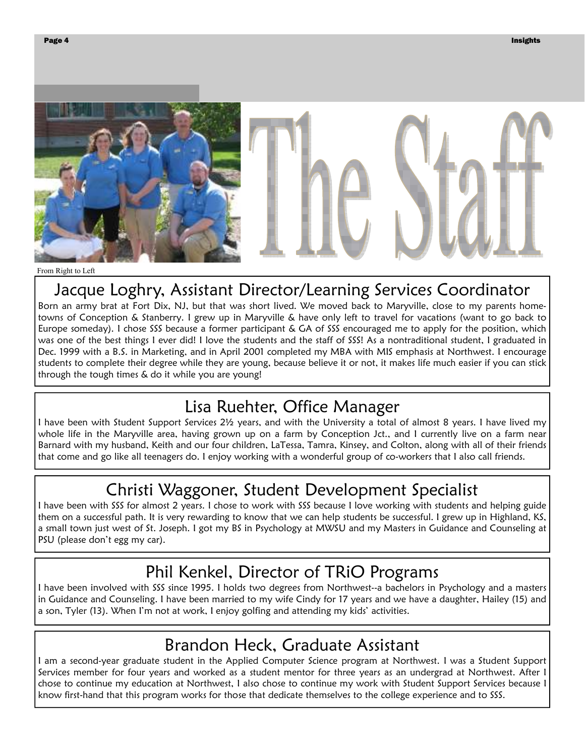

#### From Right to Left

#### Jacque Loghry, Assistant Director/Learning Services Coordinator

Born an army brat at Fort Dix, NJ, but that was short lived. We moved back to Maryville, close to my parents hometowns of Conception & Stanberry. I grew up in Maryville & have only left to travel for vacations (want to go back to Europe someday). I chose SSS because a former participant & GA of SSS encouraged me to apply for the position, which was one of the best things I ever did! I love the students and the staff of SSS! As a nontraditional student, I graduated in Dec. 1999 with a B.S. in Marketing, and in April 2001 completed my MBA with MIS emphasis at Northwest. I encourage students to complete their degree while they are young, because believe it or not, it makes life much easier if you can stick through the tough times & do it while you are young!

#### Lisa Ruehter, Office Manager

I have been with Student Support Services 2½ years, and with the University a total of almost 8 years. I have lived my whole life in the Maryville area, having grown up on a farm by Conception Jct., and I currently live on a farm near Barnard with my husband, Keith and our four children, LaTessa, Tamra, Kinsey, and Colton, along with all of their friends that come and go like all teenagers do. I enjoy working with a wonderful group of co-workers that I also call friends.

#### Christi Waggoner, Student Development Specialist

I have been with SSS for almost 2 years. I chose to work with SSS because I love working with students and helping guide them on a successful path. It is very rewarding to know that we can help students be successful. I grew up in Highland, KS, a small town just west of St. Joseph. I got my BS in Psychology at MWSU and my Masters in Guidance and Counseling at PSU (please don't egg my car).

#### Phil Kenkel, Director of TRiO Programs

I have been involved with SSS since 1995. I holds two degrees from Northwest--a bachelors in Psychology and a masters in Guidance and Counseling. I have been married to my wife Cindy for 17 years and we have a daughter, Hailey (15) and a son, Tyler (13). When I'm not at work, I enjoy golfing and attending my kids' activities.

#### Brandon Heck, Graduate Assistant

I am a second-year graduate student in the Applied Computer Science program at Northwest. I was a Student Support Services member for four years and worked as a student mentor for three years as an undergrad at Northwest. After I chose to continue my education at Northwest, I also chose to continue my work with Student Support Services because I know first-hand that this program works for those that dedicate themselves to the college experience and to SSS.